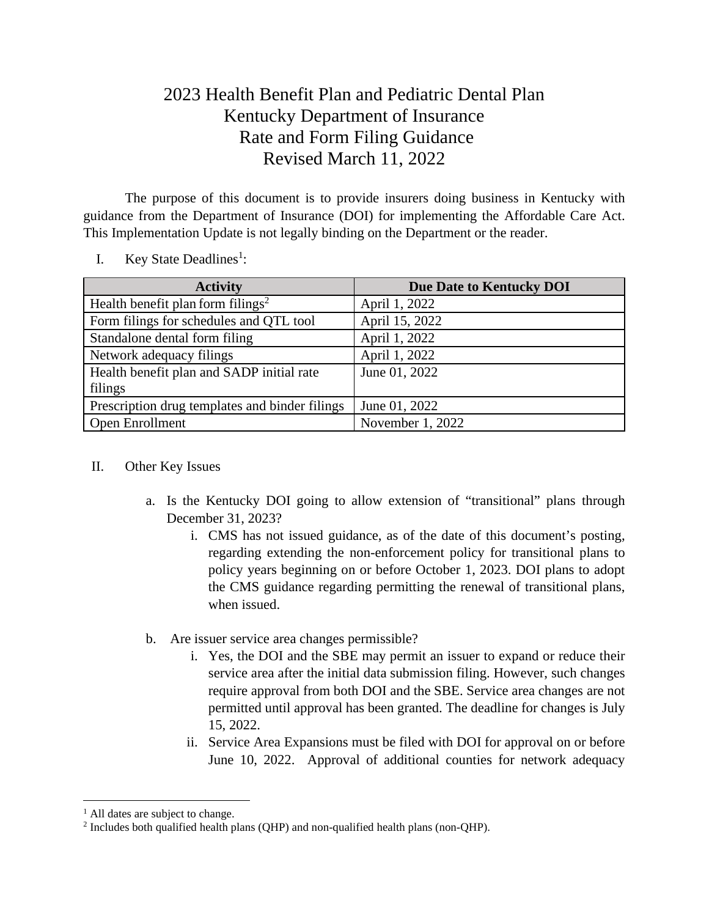## 2023 Health Benefit Plan and Pediatric Dental Plan Kentucky Department of Insurance Rate and Form Filing Guidance Revised March 11, 2022

The purpose of this document is to provide insurers doing business in Kentucky with guidance from the Department of Insurance (DOI) for implementing the Affordable Care Act. This Implementation Update is not legally binding on the Department or the reader.

- **Activity Due Date to Kentucky DOI** Health benefit plan form filings<sup>2</sup> April 1, 2022 Form filings for schedules and QTL tool April 15, 2022 Standalone dental form filing April 1, 2022 Network adequacy filings April 1, 2022 Health benefit plan and SADP initial rate filings June 01, 2022 Prescription drug templates and binder filings  $\sqrt{\text{June 01, 2022}}$ Open Enrollment November 1, 2022
- I. Key State Deadlines<sup>1</sup>:

## II. Other Key Issues

- a. Is the Kentucky DOI going to allow extension of "transitional" plans through December 31, 2023?
	- i. CMS has not issued guidance, as of the date of this document's posting, regarding extending the non-enforcement policy for transitional plans to policy years beginning on or before October 1, 2023. DOI plans to adopt the CMS guidance regarding permitting the renewal of transitional plans, when issued.
- b. Are issuer service area changes permissible?
	- i. Yes, the DOI and the SBE may permit an issuer to expand or reduce their service area after the initial data submission filing. However, such changes require approval from both DOI and the SBE. Service area changes are not permitted until approval has been granted. The deadline for changes is July 15, 2022.
	- ii. Service Area Expansions must be filed with DOI for approval on or before June 10, 2022. Approval of additional counties for network adequacy

 $<sup>1</sup>$  All dates are subject to change.</sup>

 $2$  Includes both qualified health plans (QHP) and non-qualified health plans (non-QHP).